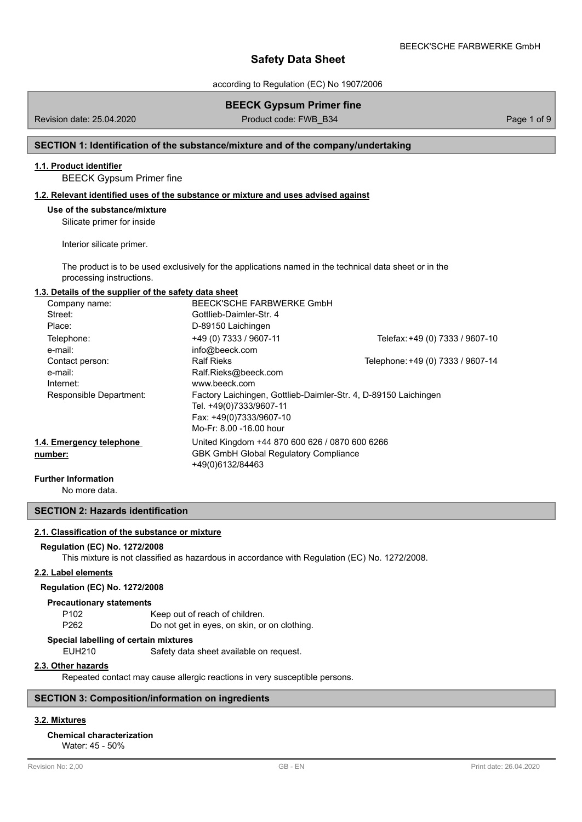according to Regulation (EC) No 1907/2006

|                                                                                         | <b>BEECK Gypsum Primer fine</b>                                                                                                                                                                                |                                   |             |
|-----------------------------------------------------------------------------------------|----------------------------------------------------------------------------------------------------------------------------------------------------------------------------------------------------------------|-----------------------------------|-------------|
| Revision date: 25.04.2020                                                               | Product code: FWB B34                                                                                                                                                                                          |                                   | Page 1 of 9 |
| SECTION 1: Identification of the substance/mixture and of the company/undertaking       |                                                                                                                                                                                                                |                                   |             |
| 1.1. Product identifier<br><b>BEECK Gypsum Primer fine</b>                              |                                                                                                                                                                                                                |                                   |             |
| 1.2. Relevant identified uses of the substance or mixture and uses advised against      |                                                                                                                                                                                                                |                                   |             |
| Use of the substance/mixture<br>Silicate primer for inside<br>Interior silicate primer. | The product is to be used exclusively for the applications named in the technical data sheet or in the                                                                                                         |                                   |             |
| processing instructions.                                                                |                                                                                                                                                                                                                |                                   |             |
| 1.3. Details of the supplier of the safety data sheet                                   |                                                                                                                                                                                                                |                                   |             |
| Company name:<br>Street:<br>Place:                                                      | <b>BEECK'SCHE FARBWERKE GmbH</b><br>Gottlieb-Daimler-Str. 4<br>D-89150 Laichingen                                                                                                                              |                                   |             |
| Telephone:<br>e-mail:                                                                   | +49 (0) 7333 / 9607-11<br>info@beeck.com                                                                                                                                                                       | Telefax: +49 (0) 7333 / 9607-10   |             |
| Contact person:<br>e-mail:<br>Internet:<br>Responsible Department:                      | <b>Ralf Rieks</b><br>Ralf.Rieks@beeck.com<br>www.beeck.com<br>Factory Laichingen, Gottlieb-Daimler-Str. 4, D-89150 Laichingen<br>Tel. +49(0)7333/9607-11<br>Fax: +49(0)7333/9607-10<br>Mo-Fr: 8.00 -16.00 hour | Telephone: +49 (0) 7333 / 9607-14 |             |
| 1.4. Emergency telephone<br>number:                                                     | United Kingdom +44 870 600 626 / 0870 600 6266<br><b>GBK GmbH Global Regulatory Compliance</b><br>+49(0)6132/84463                                                                                             |                                   |             |
| <b>Further Information</b>                                                              |                                                                                                                                                                                                                |                                   |             |

No more data.

**SECTION 2: Hazards identification**

# **2.1. Classification of the substance or mixture**

### **Regulation (EC) No. 1272/2008**

This mixture is not classified as hazardous in accordance with Regulation (EC) No. 1272/2008.

### **2.2. Label elements**

## **Regulation (EC) No. 1272/2008**

#### **Precautionary statements**

| P102 | Keep out of reach of children.               |
|------|----------------------------------------------|
| P262 | Do not get in eyes, on skin, or on clothing. |

## **Special labelling of certain mixtures**

EUH210 Safety data sheet available on request.

### **2.3. Other hazards**

Repeated contact may cause allergic reactions in very susceptible persons.

## **SECTION 3: Composition/information on ingredients**

# **3.2. Mixtures**

# **Chemical characterization**

Water: 45 - 50%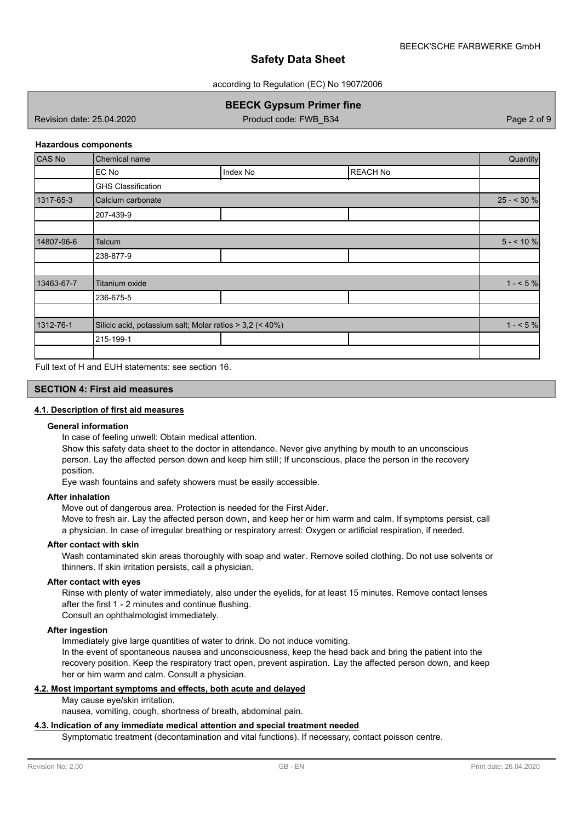according to Regulation (EC) No 1907/2006

# **BEECK Gypsum Primer fine**

Revision date: 25.04.2020 **Product code: FWB\_B34** Page 2 of 9

### **Hazardous components**

| CAS No     | Chemical name                                            |          | Quantity        |             |
|------------|----------------------------------------------------------|----------|-----------------|-------------|
|            | EC No                                                    | Index No | <b>REACH No</b> |             |
|            | <b>GHS Classification</b>                                |          |                 |             |
| 1317-65-3  | Calcium carbonate                                        |          |                 | $25 - 30%$  |
|            | 207-439-9                                                |          |                 |             |
|            |                                                          |          |                 |             |
| 14807-96-6 | Talcum                                                   |          |                 | $5 - 10 \%$ |
|            | 238-877-9                                                |          |                 |             |
|            |                                                          |          |                 |             |
| 13463-67-7 | Titanium oxide                                           |          |                 | $1 - 5\%$   |
|            | 236-675-5                                                |          |                 |             |
|            |                                                          |          |                 |             |
| 1312-76-1  | Silicic acid, potassium salt; Molar ratios > 3,2 (< 40%) |          |                 | $1 - 5%$    |
|            | 215-199-1                                                |          |                 |             |
|            |                                                          |          |                 |             |

Full text of H and EUH statements: see section 16.

### **SECTION 4: First aid measures**

## **4.1. Description of first aid measures**

#### **General information**

In case of feeling unwell: Obtain medical attention.

Show this safety data sheet to the doctor in attendance. Never give anything by mouth to an unconscious person. Lay the affected person down and keep him still; If unconscious, place the person in the recovery position.

Eye wash fountains and safety showers must be easily accessible.

#### **After inhalation**

Move out of dangerous area. Protection is needed for the First Aider.

Move to fresh air. Lay the affected person down, and keep her or him warm and calm. If symptoms persist, call a physician. In case of irregular breathing or respiratory arrest: Oxygen or artificial respiration, if needed.

#### **After contact with skin**

Wash contaminated skin areas thoroughly with soap and water. Remove soiled clothing. Do not use solvents or thinners. If skin irritation persists, call a physician.

#### **After contact with eyes**

Rinse with plenty of water immediately, also under the eyelids, for at least 15 minutes. Remove contact lenses after the first 1 - 2 minutes and continue flushing.

Consult an ophthalmologist immediately.

### **After ingestion**

Immediately give large quantities of water to drink. Do not induce vomiting.

In the event of spontaneous nausea and unconsciousness, keep the head back and bring the patient into the recovery position. Keep the respiratory tract open, prevent aspiration. Lay the affected person down, and keep her or him warm and calm. Consult a physician.

# **4.2. Most important symptoms and effects, both acute and delayed**

## May cause eye/skin irritation.

nausea, vomiting, cough, shortness of breath, abdominal pain.

# **4.3. Indication of any immediate medical attention and special treatment needed**

Symptomatic treatment (decontamination and vital functions). If necessary, contact poisson centre.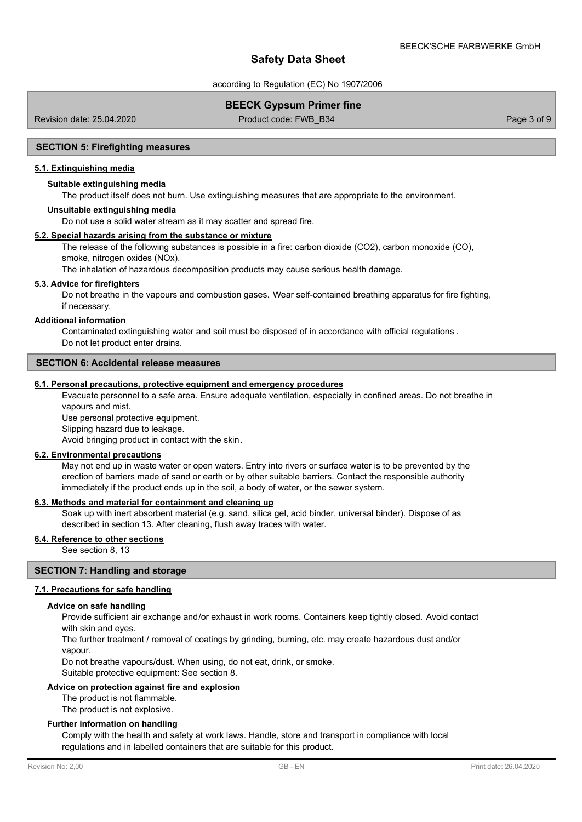according to Regulation (EC) No 1907/2006

# **BEECK Gypsum Primer fine**

Revision date: 25.04.2020 **Product code: FWB\_B34** Page 3 of 9

#### **SECTION 5: Firefighting measures**

### **5.1. Extinguishing media**

### **Suitable extinguishing media**

The product itself does not burn. Use extinguishing measures that are appropriate to the environment.

#### **Unsuitable extinguishing media**

Do not use a solid water stream as it may scatter and spread fire.

## **5.2. Special hazards arising from the substance or mixture**

The release of the following substances is possible in a fire: carbon dioxide (CO2), carbon monoxide (CO), smoke, nitrogen oxides (NOx).

The inhalation of hazardous decomposition products may cause serious health damage.

#### **5.3. Advice for firefighters**

Do not breathe in the vapours and combustion gases. Wear self-contained breathing apparatus for fire fighting, if necessary.

#### **Additional information**

Contaminated extinguishing water and soil must be disposed of in accordance with official regulations . Do not let product enter drains.

### **SECTION 6: Accidental release measures**

## **6.1. Personal precautions, protective equipment and emergency procedures**

Evacuate personnel to a safe area. Ensure adequate ventilation, especially in confined areas. Do not breathe in vapours and mist.

Use personal protective equipment.

Slipping hazard due to leakage.

Avoid bringing product in contact with the skin.

#### **6.2. Environmental precautions**

May not end up in waste water or open waters. Entry into rivers or surface water is to be prevented by the erection of barriers made of sand or earth or by other suitable barriers. Contact the responsible authority immediately if the product ends up in the soil, a body of water, or the sewer system.

## **6.3. Methods and material for containment and cleaning up**

Soak up with inert absorbent material (e.g. sand, silica gel, acid binder, universal binder). Dispose of as described in section 13. After cleaning, flush away traces with water.

## **6.4. Reference to other sections**

See section 8, 13

### **SECTION 7: Handling and storage**

#### **7.1. Precautions for safe handling**

#### **Advice on safe handling**

Provide sufficient air exchange and/or exhaust in work rooms. Containers keep tightly closed. Avoid contact with skin and eyes.

The further treatment / removal of coatings by grinding, burning, etc. may create hazardous dust and/or vapour.

Do not breathe vapours/dust. When using, do not eat, drink, or smoke.

Suitable protective equipment: See section 8.

#### **Advice on protection against fire and explosion**

The product is not flammable.

The product is not explosive.

#### **Further information on handling**

Comply with the health and safety at work laws. Handle, store and transport in compliance with local regulations and in labelled containers that are suitable for this product.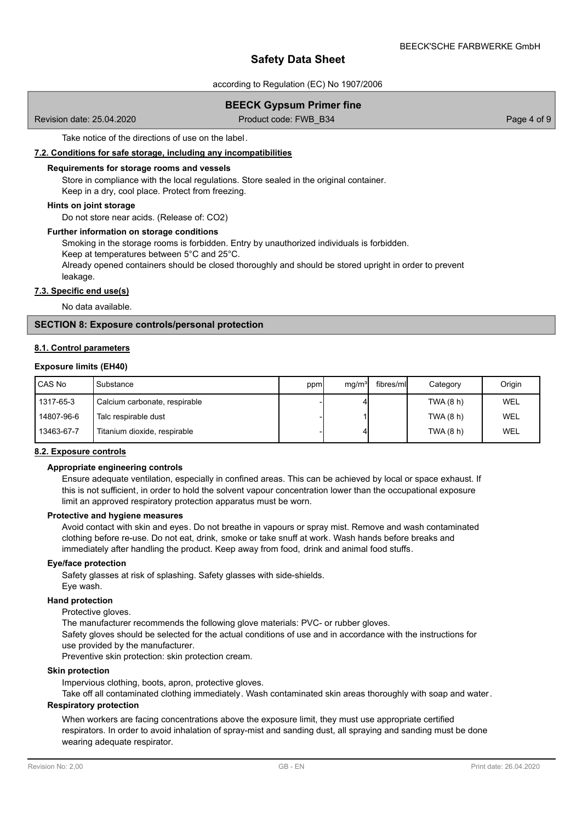according to Regulation (EC) No 1907/2006

# **BEECK Gypsum Primer fine**

Revision date: 25.04.2020 **Product code: FWB\_B34** Page 4 of 9

Take notice of the directions of use on the label.

#### **7.2. Conditions for safe storage, including any incompatibilities**

#### **Requirements for storage rooms and vessels**

Store in compliance with the local regulations. Store sealed in the original container. Keep in a dry, cool place. Protect from freezing.

### **Hints on joint storage**

Do not store near acids. (Release of: CO2)

### **Further information on storage conditions**

Smoking in the storage rooms is forbidden. Entry by unauthorized individuals is forbidden.

Keep at temperatures between 5°C and 25°C.

Already opened containers should be closed thoroughly and should be stored upright in order to prevent leakage.

#### **7.3. Specific end use(s)**

No data available.

# **SECTION 8: Exposure controls/personal protection**

#### **8.1. Control parameters**

#### **Exposure limits (EH40)**

| <b>CAS No</b> | Substance                     | ppm | mq/m <sup>3</sup> | fibres/mll | Category  | Origin |
|---------------|-------------------------------|-----|-------------------|------------|-----------|--------|
| 1317-65-3     | Calcium carbonate, respirable |     |                   |            | TWA (8 h) | WEL    |
| 14807-96-6    | Talc respirable dust          |     |                   |            | TWA (8 h) | WEL    |
| 13463-67-7    | Titanium dioxide, respirable  |     |                   |            | TWA (8 h) | WEL    |

## **8.2. Exposure controls**

#### **Appropriate engineering controls**

Ensure adequate ventilation, especially in confined areas. This can be achieved by local or space exhaust. If this is not sufficient, in order to hold the solvent vapour concentration lower than the occupational exposure limit an approved respiratory protection apparatus must be worn.

### **Protective and hygiene measures**

Avoid contact with skin and eyes. Do not breathe in vapours or spray mist. Remove and wash contaminated clothing before re-use. Do not eat, drink, smoke or take snuff at work. Wash hands before breaks and immediately after handling the product. Keep away from food, drink and animal food stuffs.

#### **Eye/face protection**

Safety glasses at risk of splashing. Safety glasses with side-shields. Eye wash.

#### **Hand protection**

## Protective gloves.

The manufacturer recommends the following glove materials: PVC- or rubber gloves. Safety gloves should be selected for the actual conditions of use and in accordance with the instructions for use provided by the manufacturer.

Preventive skin protection: skin protection cream.

#### **Skin protection**

Impervious clothing, boots, apron, protective gloves.

Take off all contaminated clothing immediately. Wash contaminated skin areas thoroughly with soap and water.

# **Respiratory protection**

When workers are facing concentrations above the exposure limit, they must use appropriate certified respirators. In order to avoid inhalation of spray-mist and sanding dust, all spraying and sanding must be done wearing adequate respirator.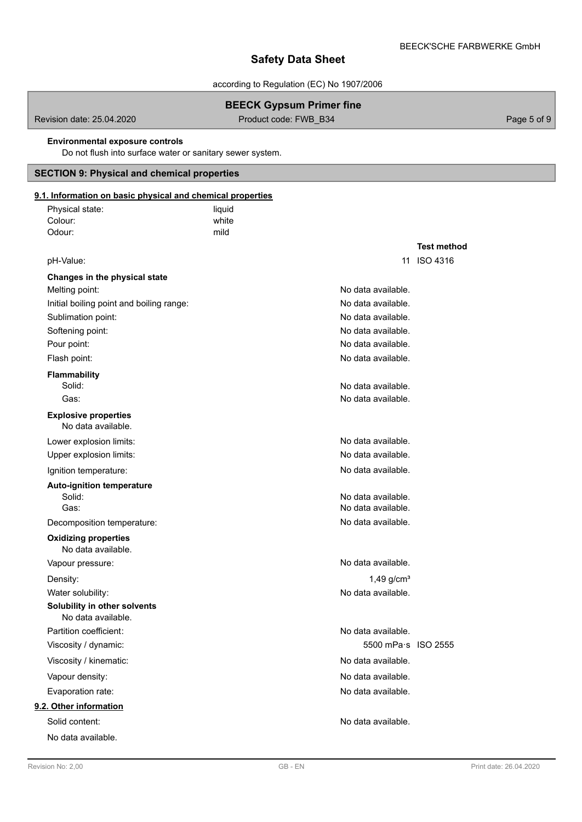according to Regulation (EC) No 1907/2006

# **BEECK Gypsum Primer fine**

Revision date: 25.04.2020 **Product code: FWB\_B34** Page 5 of 9

## **Environmental exposure controls**

Do not flush into surface water or sanitary sewer system.

# **SECTION 9: Physical and chemical properties**

| 9.1. Information on basic physical and chemical properties |        |                          |                    |
|------------------------------------------------------------|--------|--------------------------|--------------------|
| Physical state:                                            | liquid |                          |                    |
| Colour:                                                    | white  |                          |                    |
| Odour:                                                     | mild   |                          |                    |
|                                                            |        |                          | <b>Test method</b> |
| pH-Value:                                                  |        |                          | 11 ISO 4316        |
| Changes in the physical state                              |        |                          |                    |
| Melting point:                                             |        | No data available.       |                    |
| Initial boiling point and boiling range:                   |        | No data available.       |                    |
| Sublimation point:                                         |        | No data available.       |                    |
| Softening point:                                           |        | No data available.       |                    |
| Pour point:                                                |        | No data available.       |                    |
| Flash point:                                               |        | No data available.       |                    |
| <b>Flammability</b>                                        |        |                          |                    |
| Solid:                                                     |        | No data available.       |                    |
| Gas:                                                       |        | No data available.       |                    |
| <b>Explosive properties</b><br>No data available.          |        |                          |                    |
| Lower explosion limits:                                    |        | No data available.       |                    |
| Upper explosion limits:                                    |        | No data available.       |                    |
| Ignition temperature:                                      |        | No data available.       |                    |
| <b>Auto-ignition temperature</b>                           |        |                          |                    |
| Solid:                                                     |        | No data available.       |                    |
| Gas:                                                       |        | No data available.       |                    |
| Decomposition temperature:                                 |        | No data available.       |                    |
| <b>Oxidizing properties</b><br>No data available.          |        |                          |                    |
| Vapour pressure:                                           |        | No data available.       |                    |
| Density:                                                   |        | $1,49$ g/cm <sup>3</sup> |                    |
| Water solubility:                                          |        | No data available.       |                    |
| Solubility in other solvents<br>No data available.         |        |                          |                    |
| Partition coefficient:                                     |        | No data available.       |                    |
| Viscosity / dynamic:                                       |        | 5500 mPa·s ISO 2555      |                    |
| Viscosity / kinematic:                                     |        | No data available.       |                    |
| Vapour density:                                            |        | No data available.       |                    |
| Evaporation rate:                                          |        | No data available.       |                    |
| 9.2. Other information                                     |        |                          |                    |
| Solid content:                                             |        | No data available.       |                    |
| No data available.                                         |        |                          |                    |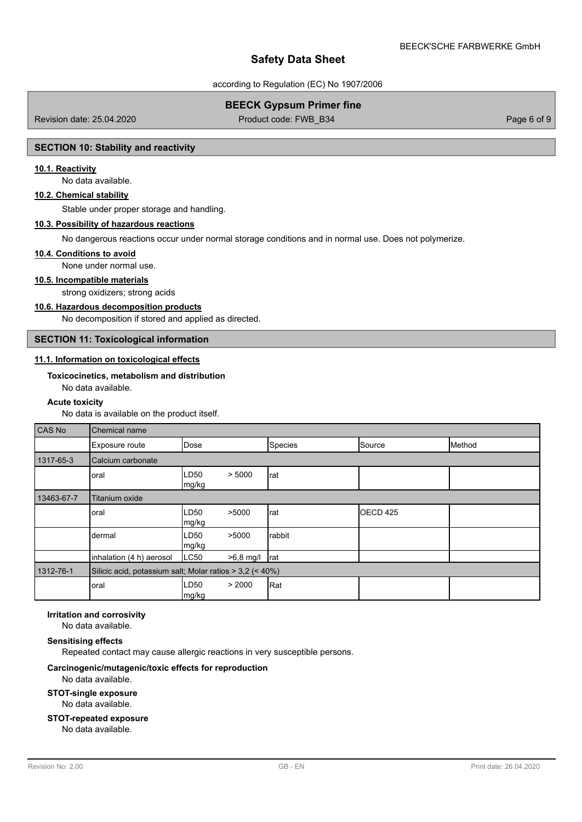according to Regulation (EC) No 1907/2006

# **BEECK Gypsum Primer fine**

Revision date: 25.04.2020 **Product code: FWB\_B34** Page 6 of 9

### **SECTION 10: Stability and reactivity**

# **10.1. Reactivity**

No data available.

# **10.2. Chemical stability**

Stable under proper storage and handling.

#### **10.3. Possibility of hazardous reactions**

No dangerous reactions occur under normal storage conditions and in normal use. Does not polymerize.

#### **10.4. Conditions to avoid**

None under normal use.

# **10.5. Incompatible materials**

strong oxidizers; strong acids

#### **10.6. Hazardous decomposition products**

No decomposition if stored and applied as directed.

# **SECTION 11: Toxicological information**

# **11.1. Information on toxicological effects**

## **Toxicocinetics, metabolism and distribution**

No data available.

#### **Acute toxicity**

No data is available on the product itself.

| <b>CAS No</b> | Chemical name                                            |               |           |         |          |        |  |
|---------------|----------------------------------------------------------|---------------|-----------|---------|----------|--------|--|
|               | Exposure route                                           | Dose          |           | Species | Source   | Method |  |
| 1317-65-3     | Calcium carbonate                                        |               |           |         |          |        |  |
|               | oral                                                     | LD50<br>mg/kg | > 5000    | rat     |          |        |  |
| 13463-67-7    | Titanium oxide                                           |               |           |         |          |        |  |
|               | oral                                                     | LD50<br>mg/kg | >5000     | rat     | OECD 425 |        |  |
|               | dermal                                                   | LD50<br>mg/kg | >5000     | rabbit  |          |        |  |
|               | inhalation (4 h) aerosol                                 | LC50          | >6,8 mg/l | rat     |          |        |  |
| 1312-76-1     | Silicic acid, potassium salt; Molar ratios > 3,2 (< 40%) |               |           |         |          |        |  |
|               | oral                                                     | LD50<br>mg/kg | > 2000    | Rat     |          |        |  |

# **Irritation and corrosivity**

No data available.

#### **Sensitising effects**

Repeated contact may cause allergic reactions in very susceptible persons.

#### **Carcinogenic/mutagenic/toxic effects for reproduction**

### No data available.

**STOT-single exposure**

No data available.

# **STOT-repeated exposure**

No data available.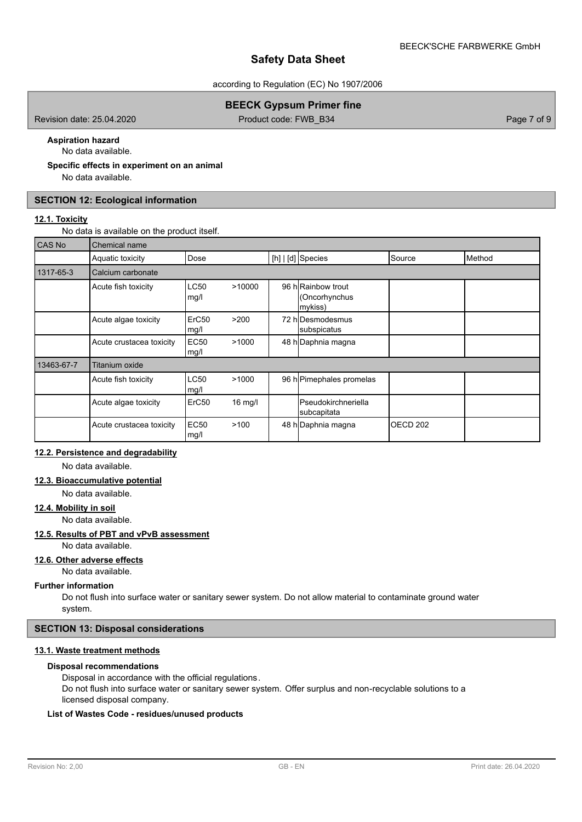according to Regulation (EC) No 1907/2006

# **BEECK Gypsum Primer fine**

Revision date: 25.04.2020 **Product code: FWB\_B34** Page 7 of 9

#### **Aspiration hazard** No data available.

**Specific effects in experiment on an animal**

No data available.

## **SECTION 12: Ecological information**

### **12.1. Toxicity**

No data is available on the product itself.

| CAS No     | Chemical name            |                           |         |  |                                               |                     |        |
|------------|--------------------------|---------------------------|---------|--|-----------------------------------------------|---------------------|--------|
|            | Aquatic toxicity         | Dose                      |         |  | $[h]   [d]$ Species                           | Source              | Method |
| 1317-65-3  | Calcium carbonate        |                           |         |  |                                               |                     |        |
|            | Acute fish toxicity      | <b>LC50</b><br>mg/l       | >10000  |  | 96 hRainbow trout<br>(Oncorhynchus<br>mykiss) |                     |        |
|            | Acute algae toxicity     | ErC <sub>50</sub><br>mg/l | >200    |  | 72 hlDesmodesmus<br>subspicatus               |                     |        |
|            | Acute crustacea toxicity | <b>EC50</b><br>mg/l       | >1000   |  | 48 h Daphnia magna                            |                     |        |
| 13463-67-7 | Titanium oxide           |                           |         |  |                                               |                     |        |
|            | Acute fish toxicity      | <b>LC50</b><br>mg/l       | >1000   |  | 96 h Pimephales promelas                      |                     |        |
|            | Acute algae toxicity     | ErC50                     | 16 mg/l |  | <b>Pseudokirchneriella</b><br>subcapitata     |                     |        |
|            | Acute crustacea toxicity | <b>EC50</b><br>mg/l       | >100    |  | 48 h Daphnia magna                            | OECD <sub>202</sub> |        |

# **12.2. Persistence and degradability**

No data available.

# **12.3. Bioaccumulative potential**

No data available.

# **12.4. Mobility in soil**

No data available.

# **12.5. Results of PBT and vPvB assessment**

No data available.

#### **12.6. Other adverse effects**

No data available.

#### **Further information**

Do not flush into surface water or sanitary sewer system. Do not allow material to contaminate ground water system.

# **SECTION 13: Disposal considerations**

# **13.1. Waste treatment methods**

#### **Disposal recommendations**

Disposal in accordance with the official regulations.

Do not flush into surface water or sanitary sewer system. Offer surplus and non-recyclable solutions to a licensed disposal company.

# **List of Wastes Code - residues/unused products**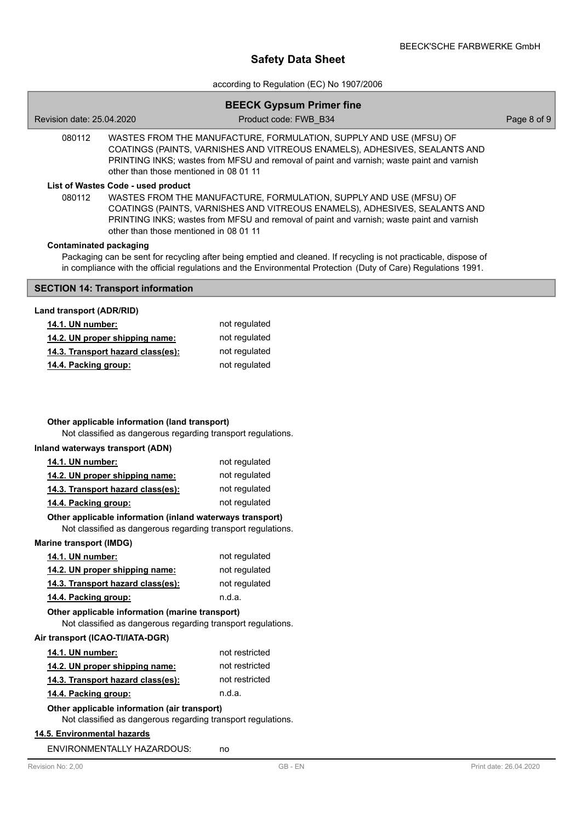according to Regulation (EC) No 1907/2006

|                                                                                                                                                                                                         | <b>BEECK Gypsum Primer fine</b>                                                                                                                                                                                                               |             |
|---------------------------------------------------------------------------------------------------------------------------------------------------------------------------------------------------------|-----------------------------------------------------------------------------------------------------------------------------------------------------------------------------------------------------------------------------------------------|-------------|
| Revision date: 25.04.2020                                                                                                                                                                               | Product code: FWB B34                                                                                                                                                                                                                         | Page 8 of 9 |
| 080112<br>other than those mentioned in 08 01 11                                                                                                                                                        | WASTES FROM THE MANUFACTURE, FORMULATION, SUPPLY AND USE (MFSU) OF<br>COATINGS (PAINTS, VARNISHES AND VITREOUS ENAMELS), ADHESIVES, SEALANTS AND<br>PRINTING INKS; wastes from MFSU and removal of paint and varnish; waste paint and varnish |             |
| List of Wastes Code - used product<br>080112<br>other than those mentioned in 08 01 11                                                                                                                  | WASTES FROM THE MANUFACTURE, FORMULATION, SUPPLY AND USE (MFSU) OF<br>COATINGS (PAINTS, VARNISHES AND VITREOUS ENAMELS), ADHESIVES, SEALANTS AND<br>PRINTING INKS; wastes from MFSU and removal of paint and varnish; waste paint and varnish |             |
| <b>Contaminated packaging</b>                                                                                                                                                                           | Packaging can be sent for recycling after being emptied and cleaned. If recycling is not practicable, dispose of<br>in compliance with the official regulations and the Environmental Protection (Duty of Care) Regulations 1991.             |             |
| <b>SECTION 14: Transport information</b>                                                                                                                                                                |                                                                                                                                                                                                                                               |             |
| Land transport (ADR/RID)                                                                                                                                                                                |                                                                                                                                                                                                                                               |             |
| 14.1. UN number:                                                                                                                                                                                        | not regulated                                                                                                                                                                                                                                 |             |
| 14.2. UN proper shipping name:                                                                                                                                                                          | not regulated                                                                                                                                                                                                                                 |             |
| 14.3. Transport hazard class(es):                                                                                                                                                                       | not regulated                                                                                                                                                                                                                                 |             |
| 14.4. Packing group:                                                                                                                                                                                    | not regulated                                                                                                                                                                                                                                 |             |
| Other applicable information (land transport)<br>Not classified as dangerous regarding transport regulations.<br>Inland waterways transport (ADN)<br>14.1. UN number:<br>14.2. UN proper shipping name: | not regulated<br>not regulated                                                                                                                                                                                                                |             |
| 14.3. Transport hazard class(es):                                                                                                                                                                       | not regulated                                                                                                                                                                                                                                 |             |
| 14.4. Packing group:                                                                                                                                                                                    | not regulated                                                                                                                                                                                                                                 |             |
| Other applicable information (inland waterways transport)<br>Not classified as dangerous regarding transport regulations.                                                                               |                                                                                                                                                                                                                                               |             |
| <b>Marine transport (IMDG)</b>                                                                                                                                                                          |                                                                                                                                                                                                                                               |             |
| 14.1. UN number:                                                                                                                                                                                        | not regulated                                                                                                                                                                                                                                 |             |
| 14.2. UN proper shipping name:                                                                                                                                                                          | not regulated                                                                                                                                                                                                                                 |             |
| 14.3. Transport hazard class(es):                                                                                                                                                                       | not regulated                                                                                                                                                                                                                                 |             |
| 14.4. Packing group:                                                                                                                                                                                    | n.d.a.                                                                                                                                                                                                                                        |             |
| Other applicable information (marine transport)<br>Not classified as dangerous regarding transport regulations.                                                                                         |                                                                                                                                                                                                                                               |             |
| Air transport (ICAO-TI/IATA-DGR)                                                                                                                                                                        |                                                                                                                                                                                                                                               |             |
| 14.1. UN number:                                                                                                                                                                                        | not restricted                                                                                                                                                                                                                                |             |
| 14.2. UN proper shipping name:                                                                                                                                                                          | not restricted                                                                                                                                                                                                                                |             |
| 14.3. Transport hazard class(es):                                                                                                                                                                       | not restricted                                                                                                                                                                                                                                |             |
| 14.4. Packing group:                                                                                                                                                                                    | n.d.a.                                                                                                                                                                                                                                        |             |
| Other applicable information (air transport)<br>Not classified as dangerous regarding transport regulations.                                                                                            |                                                                                                                                                                                                                                               |             |
| 14.5. Environmental hazards                                                                                                                                                                             |                                                                                                                                                                                                                                               |             |
| ENVIRONMENTALLY HAZARDOUS:                                                                                                                                                                              | no                                                                                                                                                                                                                                            |             |